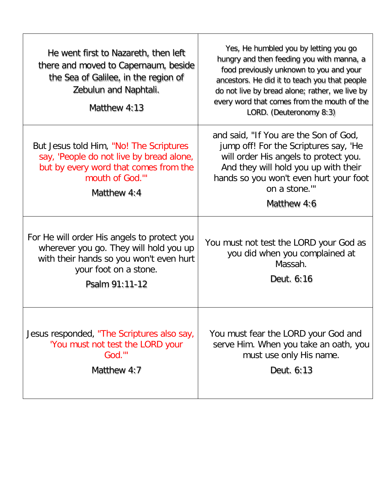| He went first to Nazareth, then left<br>there and moved to Capernaum, beside<br>the Sea of Galilee, in the region of<br>Zebulun and Naphtali.<br>Matthew 4:13               | Yes, He humbled you by letting you go<br>hungry and then feeding you with manna, a<br>food previously unknown to you and your<br>ancestors. He did it to teach you that people<br>do not live by bread alone; rather, we live by<br>every word that comes from the mouth of the<br>LORD. (Deuteronomy 8:3) |
|-----------------------------------------------------------------------------------------------------------------------------------------------------------------------------|------------------------------------------------------------------------------------------------------------------------------------------------------------------------------------------------------------------------------------------------------------------------------------------------------------|
| But Jesus told Him, "No! The Scriptures"<br>say, 'People do not live by bread alone,<br>but by every word that comes from the<br>mouth of God.""<br>Matthew 4:4             | and said, "If You are the Son of God,<br>jump off! For the Scriptures say, 'He<br>will order His angels to protect you.<br>And they will hold you up with their<br>hands so you won't even hurt your foot<br>on a stone.""<br>Matthew 4:6                                                                  |
| For He will order His angels to protect you<br>wherever you go. They will hold you up<br>with their hands so you won't even hurt<br>your foot on a stone.<br>Psalm 91:11-12 | You must not test the LORD your God as<br>you did when you complained at<br>Massah.<br>Deut. 6:16                                                                                                                                                                                                          |
| Jesus responded, "The Scriptures also say,<br>'You must not test the LORD your<br>God.""<br>Matthew 4:7                                                                     | You must fear the LORD your God and<br>serve Him. When you take an oath, you<br>must use only His name.<br>Deut. 6:13                                                                                                                                                                                      |